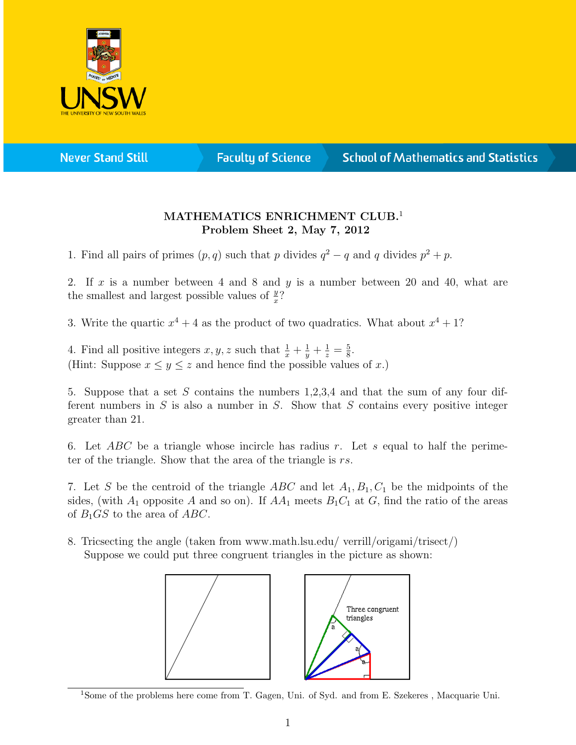

**Never Stand Still** 

**Faculty of Science** 

## **School of Mathematics and Statistics**

## MATHEMATICS ENRICHMENT CLUB.<sup>1</sup> Problem Sheet 2, May 7, 2012

1. Find all pairs of primes  $(p, q)$  such that p divides  $q^2 - q$  and q divides  $p^2 + p$ .

2. If x is a number between 4 and 8 and y is a number between 20 and 40, what are the smallest and largest possible values of  $\frac{y}{x}$ ?

3. Write the quartic  $x^4 + 4$  as the product of two quadratics. What about  $x^4 + 1$ ?

4. Find all positive integers  $x, y, z$  such that  $\frac{1}{x} + \frac{1}{y} + \frac{1}{z} = \frac{5}{8}$  $\frac{5}{8}$ . (Hint: Suppose  $x \leq y \leq z$  and hence find the possible values of x.)

5. Suppose that a set S contains the numbers 1,2,3,4 and that the sum of any four different numbers in  $S$  is also a number in  $S$ . Show that  $S$  contains every positive integer greater than 21.

6. Let  $ABC$  be a triangle whose incircle has radius r. Let s equal to half the perimeter of the triangle. Show that the area of the triangle is rs.

7. Let S be the centroid of the triangle ABC and let  $A_1, B_1, C_1$  be the midpoints of the sides, (with  $A_1$  opposite A and so on). If  $AA_1$  meets  $B_1C_1$  at G, find the ratio of the areas of  $B_1GS$  to the area of  $ABC$ .

8. Tricsecting the angle (taken from www.math.lsu.edu/ verrill/origami/trisect/) Suppose we could put three congruent triangles in the picture as shown:



<sup>&</sup>lt;sup>1</sup>Some of the problems here come from T. Gagen, Uni. of Syd. and from E. Szekeres, Macquarie Uni.

Three congruent triangles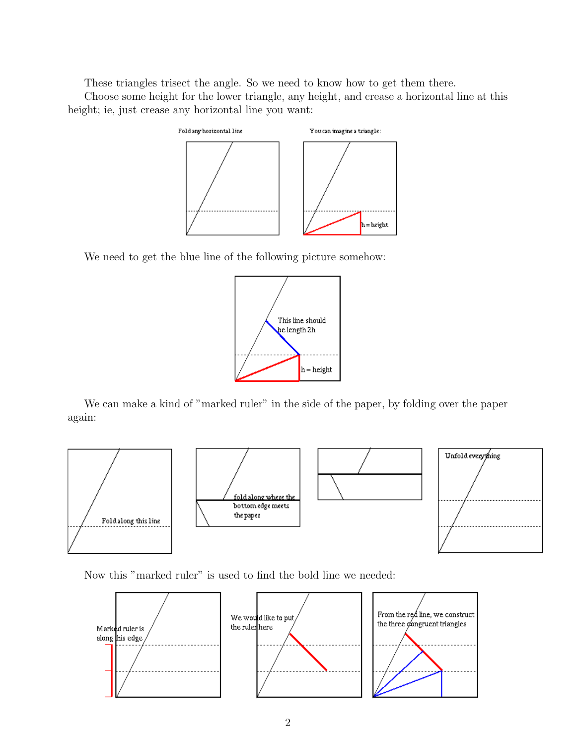These triangles trisect the angle. So we need to know how to get them there.

Choose some height for the lower triangle, any height, and crease a horizontal line at this height; ie, just crease any horizontal line you want:



We need to get the blue line of the following picture somehow:



We can make a kind of "marked ruler" in the side of the paper, by folding over the paper again:



Now this "marked ruler" is used to find the bold line we needed: